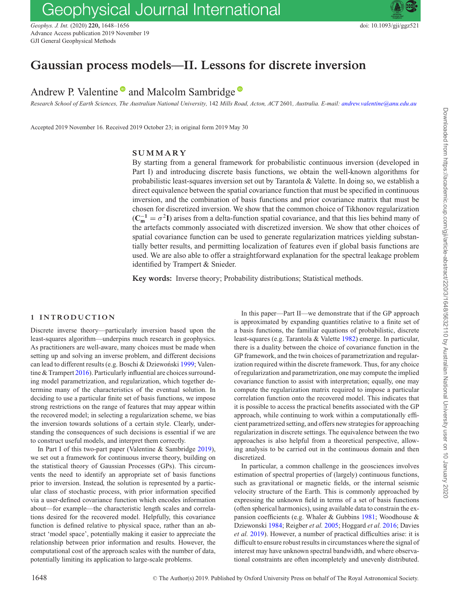# Geophysical Journal International

*Geophys. J. Int.* (2020) **220,** 1648–1656 doi: 10.1093/gji/ggz521 Advance Access publication 2019 November 19 GJI General Geophysical Methods

# **Gaussian process models—II. Lessons for discrete inversion**

Andrew P. Valentine  $\bullet$  and Malcolm Sambridge  $\bullet$ 

*Research School of Earth Sciences, The Australian National University,* 142 *Mills Road, Acton, ACT* 2601*, Australia. E-mail: [andrew.valentine@anu.edu.au](mailto:andrew.valentine@anu.edu.au)*

Accepted 2019 November 16. Received 2019 October 23; in original form 2019 May 30

# **SUMMARY**

By starting from a general framework for probabilistic continuous inversion (developed in Part I) and introducing discrete basis functions, we obtain the well-known algorithms for probabilistic least-squares inversion set out by Tarantola & Valette. In doing so, we establish a direct equivalence between the spatial covariance function that must be specified in continuous inversion, and the combination of basis functions and prior covariance matrix that must be chosen for discretized inversion. We show that the common choice of Tikhonov regularization  $(C_m^{-1} = \sigma^2 I)$  arises from a delta-function spatial covariance, and that this lies behind many of the artefacts commonly associated with discretized inversion. We show that other choices of spatial covariance function can be used to generate regularization matrices yielding substantially better results, and permitting localization of features even if global basis functions are used. We are also able to offer a straightforward explanation for the spectral leakage problem identified by Trampert & Snieder.

**Key words:** Inverse theory; Probability distributions; Statistical methods.

# **1 INTRODUCTION**

Discrete inverse theory—particularly inversion based upon the least-squares algorithm—underpins much research in geophysics. As practitioners are well-aware, many choices must be made when setting up and solving an inverse problem, and different decisions can lead to different results (e.g. Boschi & Dziewoński [1999;](#page-7-0) Valentine & Trampert [2016\)](#page-8-0). Particularly influential are choices surrounding model parametrization, and regularization, which together determine many of the characteristics of the eventual solution. In deciding to use a particular finite set of basis functions, we impose strong restrictions on the range of features that may appear within the recovered model; in selecting a regularization scheme, we bias the inversion towards solutions of a certain style. Clearly, understanding the consequences of such decisions is essential if we are to construct useful models, and interpret them correctly.

In Part I of this two-part paper (Valentine & Sambridge [2019\)](#page-8-1), we set out a framework for continuous inverse theory, building on the statistical theory of Gaussian Processes (GPs). This circumvents the need to identify an appropriate set of basis functions prior to inversion. Instead, the solution is represented by a particular class of stochastic process, with prior information specified via a user-defined covariance function which encodes information about—for example—the characteristic length scales and correlations desired for the recovered model. Helpfully, this covariance function is defined relative to physical space, rather than an abstract 'model space', potentially making it easier to appreciate the relationship between prior information and results. However, the computational cost of the approach scales with the number of data, potentially limiting its application to large-scale problems.

In this paper—Part II—we demonstrate that if the GP approach is approximated by expanding quantities relative to a finite set of a basis functions, the familiar equations of probabilistic, discrete least-squares (e.g. Tarantola & Valette [1982\)](#page-8-2) emerge. In particular, there is a duality between the choice of covariance function in the GP framework, and the twin choices of parametrization and regularization required within the discrete framework. Thus, for any choice of regularization and parametrization, one may compute the implied covariance function to assist with interpretation; equally, one may compute the regularization matrix required to impose a particular correlation function onto the recovered model. This indicates that it is possible to access the practical benefits associated with the GP approach, while continuing to work within a computationally efficient parametrized setting, and offers new strategies for approaching regularization in discrete settings. The equivalence between the two approaches is also helpful from a theoretical perspective, allowing analysis to be carried out in the continuous domain and then discretized.

In particular, a common challenge in the geosciences involves estimation of spectral properties of (largely) continuous functions, such as gravitational or magnetic fields, or the internal seismic velocity structure of the Earth. This is commonly approached by expressing the unknown field in terms of a set of basis functions (often spherical harmonics), using available data to constrain the expansion coefficients (e.g. Whaler & Gubbins [1981;](#page-8-3) Woodhouse & Dziewonski [1984;](#page-8-4) Reigber *et al.* [2005;](#page-7-1) Hoggard *et al.* [2016;](#page-7-2) Davies *et al.* [2019\)](#page-7-3). However, a number of practical difficulties arise: it is difficult to ensure robust results in circumstances where the signal of interest may have unknown spectral bandwidth, and where observational constraints are often incompletely and unevenly distributed.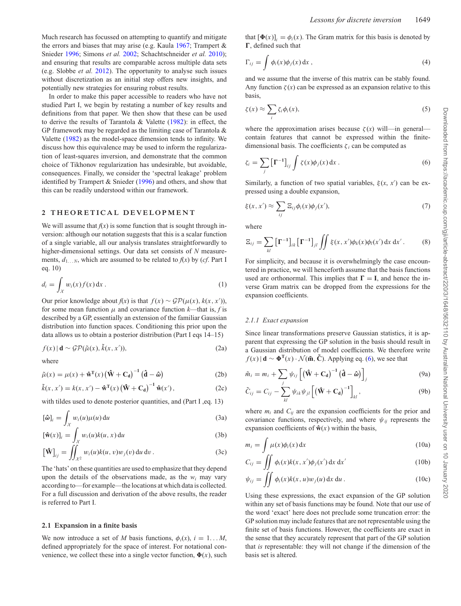In order to make this paper accessible to readers who have not studied Part I, we begin by restating a number of key results and definitions from that paper. We then show that these can be used to derive the results of Tarantola & Valette [\(1982\)](#page-8-2): in effect, the GP framework may be regarded as the limiting case of Tarantola & Valette [\(1982\)](#page-8-2) as the model-space dimension tends to infinity. We discuss how this equivalence may be used to inform the regularization of least-squares inversion, and demonstrate that the common choice of Tikhonov regularization has undesirable, but avoidable, consequences. Finally, we consider the 'spectral leakage' problem identified by Trampert & Snieder [\(1996\)](#page-8-5) and others, and show that this can be readily understood within our framework.

# **2 THEORETICAL DEVELOPMENT**

We will assume that  $f(x)$  is some function that is sought through inversion: although our notation suggests that this is a scalar function of a single variable, all our analysis translates straightforwardly to higher-dimensional settings. Our data set consists of *N* measurements,  $d_{1...N}$ , which are assumed to be related to  $f(x)$  by (*cf*. Part I eq. 10)

$$
d_i = \int_{\mathcal{X}} w_i(x) f(x) \, \mathrm{d}x \,. \tag{1}
$$

Our prior knowledge about *f*(*x*) is that  $f(x) \sim \mathcal{GP}(\mu(x), k(x, x'))$ , for some mean function  $\mu$  and covariance function  $k$ —that is,  $f$  is described by a GP, essentially an extension of the familiar Gaussian distribution into function spaces. Conditioning this prior upon the data allows us to obtain a posterior distribution (Part I eqs 14–15)

$$
f(x) | \mathbf{d} \sim \mathcal{GP}(\tilde{\mu}(x), \tilde{k}(x, x')), \qquad (2a)
$$

where

$$
\tilde{\mu}(x) = \mu(x) + \mathbf{\hat{w}}^{\mathrm{T}}(x) (\mathbf{\hat{W}} + \mathbf{C}_{\mathbf{d}})^{-1} (\mathbf{\hat{d}} - \hat{\boldsymbol{\omega}})
$$
\n(2b)

$$
\tilde{k}(x, x') = k(x, x') - \hat{\mathbf{w}}^{\mathrm{T}}(x) (\hat{\mathbf{W}} + \mathbf{C}_{\mathbf{d}})^{-1} \hat{\mathbf{w}}(x'), \qquad (2c)
$$

with tildes used to denote posterior quantities, and (Part I ,eq. 13)

$$
[\hat{\boldsymbol{\omega}}]_i = \int_{\mathcal{X}} w_i(u) \mu(u) \, \mathrm{d}u \tag{3a}
$$

$$
[\hat{\mathbf{w}}(x)]_i = \int_{\mathcal{X}} w_i(u)k(u, x) \, \mathrm{d}u \tag{3b}
$$

$$
\left[\hat{\mathbf{W}}\right]_{ij} = \iint_{\mathcal{X}^2} w_i(u)k(u,v)w_j(v) \, \mathrm{d}u \, \mathrm{d}v \,. \tag{3c}
$$

The 'hats' on these quantities are used to emphasize that they depend upon the details of the observations made, as the *wi* may vary according to—for example—the locations at which data is collected. For a full discussion and derivation of the above results, the reader is referred to Part I.

#### **2.1 Expansion in a finite basis**

We now introduce a set of *M* basis functions,  $\phi_i(x)$ ,  $i = 1...M$ , defined appropriately for the space of interest. For notational convenience, we collect these into a single vector function,  $\Phi(x)$ , such that  $[\Phi(x)]_i = \phi_i(x)$ . The Gram matrix for this basis is denoted by  $\Gamma$ , defined such that

$$
\Gamma_{ij} = \int \phi_i(x) \phi_j(x) \, \mathrm{d}x \,, \tag{4}
$$

and we assume that the inverse of this matrix can be stably found. Any function  $\zeta(x)$  can be expressed as an expansion relative to this basis,

$$
\zeta(x) \approx \sum_{i} \zeta_{i} \phi_{i}(x), \qquad (5)
$$

where the approximation arises because  $\zeta(x)$  will—in generalcontain features that cannot be expressed within the finitedimensional basis. The coefficients  $\zeta_i$  can be computed as

$$
\zeta_i = \sum_j \left[ \mathbf{\Gamma}^{-1} \right]_{ij} \int \zeta(x) \phi_j(x) \, \mathrm{d}x \,. \tag{6}
$$

Similarly, a function of two spatial variables,  $\xi(x, x')$  can be expressed using a double expansion,

$$
\xi(x, x') \approx \sum_{ij} \Xi_{ij} \phi_i(x) \phi_j(x'), \tag{7}
$$

where

$$
\Xi_{ij} = \sum_{kl} \left[\Gamma^{-1}\right]_{ik} \left[\Gamma^{-1}\right]_{jl} \iint \xi(x, x') \phi_k(x) \phi_l(x') dx dx'.
$$
 (8)

For simplicity, and because it is overwhelmingly the case encountered in practice, we will henceforth assume that the basis functions used are orthonormal. This implies that  $\Gamma = I$ , and hence the inverse Gram matrix can be dropped from the expressions for the expansion coefficients.

#### *2.1.1 Exact expansion*

Since linear transformations preserve Gaussian statistics, it is apparent that expressing the GP solution in the basis should result in a Gaussian distribution of model coefficients. We therefore write *f* (*x*)  $\mid$  **d** ∼  $\Phi$ <sup>T</sup>(*x*)  $\cdot$  N(m̃<sup>*n*</sup>,  $\tilde{C}$ ). Applying eq. (6), we see that

$$
\tilde{m}_i = m_i + \sum_j \psi_{ij} \left[ \left( \hat{\mathbf{W}} + \mathbf{C}_\mathbf{d} \right)^{-1} \left( \hat{\mathbf{d}} - \hat{\boldsymbol{\omega}} \right) \right]_j \tag{9a}
$$

$$
\tilde{C}_{ij} = C_{ij} - \sum_{kl} \psi_{ik} \psi_{jl} \left[ \left( \hat{\mathbf{W}} + \mathbf{C}_{\mathbf{d}} \right)^{-1} \right]_{kl}, \tag{9b}
$$

where  $m_i$  and  $C_{ij}$  are the expansion coefficients for the prior and covariance functions, respectively, and where  $\psi_{ij}$  represents the expansion coefficients of  $\mathbf{\hat{w}}(x)$  within the basis,

$$
m_i = \int \mu(x)\phi_i(x) dx
$$
 (10a)

$$
C_{ij} = \iint\limits_{\partial\Omega} \phi_i(x) k(x, x') \phi_j(x') dx dx'
$$
 (10b)

$$
\psi_{ij} = \iint \phi_i(x) k(x, u) w_j(u) \, dx \, du \,. \tag{10c}
$$

Using these expressions, the exact expansion of the GP solution within any set of basis functions may be found. Note that our use of the word 'exact' here does not preclude some truncation error: the GP solution may include features that are not representable using the finite set of basis functions. However, the coefficients are exact in the sense that they accurately represent that part of the GP solution that *is* representable: they will not change if the dimension of the basis set is altered.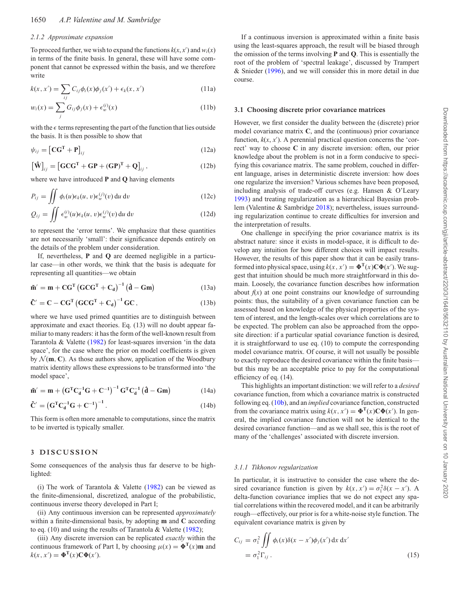#### *2.1.2 Approximate expansion*

To proceed further, we wish to expand the functions  $k(x, x')$  and  $w_i(x)$ in terms of the finite basis. In general, these will have some component that cannot be expressed within the basis, and we therefore write

$$
k(x, x') = \sum_{ij} C_{ij} \phi_i(x) \phi_j(x') + \epsilon_k(x, x')
$$
 (11a)

$$
w_i(x) = \sum_{j} G_{ij} \phi_j(x) + \epsilon_w^{(i)}(x)
$$
 (11b)

with the  $\epsilon$  terms representing the part of the function that lies outside the basis. It is then possible to show that

$$
\psi_{ij} = \left[ \mathbf{C}\mathbf{G}^{\mathrm{T}} + \mathbf{P} \right]_{ij} \tag{12a}
$$

$$
\left[\hat{\mathbf{W}}\right]_{ij} = \left[\mathbf{G}\mathbf{C}\mathbf{G}^{\mathrm{T}} + \mathbf{G}\mathbf{P} + (\mathbf{G}\mathbf{P})^{\mathrm{T}} + \mathbf{Q}\right]_{ij},\tag{12b}
$$

where we have introduced **P** and **Q** having elements

$$
P_{ij} = \iint \phi_i(u)\epsilon_k(u,v)\epsilon_w^{(j)}(v) \, \mathrm{d}u \, \mathrm{d}v \tag{12c}
$$

$$
Q_{ij} = \iint \epsilon_w^{(i)}(u)\epsilon_k(u,v)\epsilon_w^{(j)}(v) du dv
$$
 (12d)

to represent the 'error terms'. We emphasize that these quantities are not necessarily 'small': their significance depends entirely on the details of the problem under consideration.

If, nevertheless, **P** and **Q** are deemed negligible in a particular case—in other words, we think that the basis is adequate for representing all quantities—we obtain

$$
\tilde{\mathbf{m}}' = \mathbf{m} + \mathbf{C}\mathbf{G}^{\mathrm{T}} \left( \mathbf{G}\mathbf{C}\mathbf{G}^{\mathrm{T}} + \mathbf{C}_{\mathrm{d}} \right)^{-1} \left( \hat{\mathbf{d}} - \mathbf{G}\mathbf{m} \right)
$$
(13a)

$$
\tilde{\mathbf{C}}' = \mathbf{C} - \mathbf{C}\mathbf{G}^{\mathrm{T}} \left( \mathbf{G}\mathbf{C}\mathbf{G}^{\mathrm{T}} + \mathbf{C}_{\mathbf{d}} \right)^{-1} \mathbf{G}\mathbf{C},\tag{13b}
$$

where we have used primed quantities are to distinguish between approximate and exact theories. Eq. (13) will no doubt appear familiar to many readers: it has the form of the well-known result from Tarantola & Valette [\(1982\)](#page-8-2) for least-squares inversion 'in the data space', for the case where the prior on model coefficients is given by  $\mathcal{N}(\mathbf{m}, \mathbf{C})$ . As those authors show, application of the Woodbury matrix identity allows these expressions to be transformed into 'the model space',

$$
\tilde{\mathbf{m}}' = \mathbf{m} + \left(\mathbf{G}^{\mathrm{T}} \mathbf{C}_{\mathbf{d}}^{-1} \mathbf{G} + \mathbf{C}^{-1}\right)^{-1} \mathbf{G}^{\mathrm{T}} \mathbf{C}_{\mathbf{d}}^{-1} \left(\hat{\mathbf{d}} - \mathbf{G} \mathbf{m}\right)
$$
(14a)

$$
\tilde{C}' = \left(G^{T}C_{d}^{-1}G + C^{-1}\right)^{-1}.
$$
\n(14b)

This form is often more amenable to computations, since the matrix to be inverted is typically smaller.

# **3 DISCUSSION**

Some consequences of the analysis thus far deserve to be highlighted:

(i) The work of Tarantola & Valette [\(1982\)](#page-8-2) can be viewed as the finite-dimensional, discretized, analogue of the probabilistic, continuous inverse theory developed in Part I;

(ii) Any continuous inversion can be represented *approximately* within a finite-dimensional basis, by adopting **m** and **C** according to eq. (10) and using the results of Tarantola & Valette [\(1982\)](#page-8-2);

(iii) Any discrete inversion can be replicated *exactly* within the continuous framework of Part I, by choosing  $\mu(x) = \Phi^{T}(x)$ m and  $k(x, x') = \mathbf{\Phi}^{T}(x)\mathbf{C}\mathbf{\Phi}(x').$ 

If a continuous inversion is approximated within a finite basis using the least-squares approach, the result will be biased through the omission of the terms involving **P** and **Q**. This is essentially the root of the problem of 'spectral leakage', discussed by Trampert & Snieder [\(1996\)](#page-8-5), and we will consider this in more detail in due course.

# **3.1 Choosing discrete prior covariance matrices**

However, we first consider the duality between the (discrete) prior model covariance matrix **C**, and the (continuous) prior covariance function,  $k(x, x')$ . A perennial practical question concerns the 'correct' way to choose **C** in any discrete inversion: often, our prior knowledge about the problem is not in a form conducive to specifying this covariance matrix. The same problem, couched in different language, arises in deterministic discrete inversion: how does one regularize the inversion? Various schemes have been proposed, including analysis of trade-off curves (e.g. Hansen & O'Leary [1993\)](#page-7-7) and treating regularization as a hierarchical Bayesian problem (Valentine & Sambridge [2018\)](#page-8-7); nevertheless, issues surrounding regularization continue to create difficulties for inversion and the interpretation of results.

One challenge in specifying the prior covariance matrix is its abstract nature: since it exists in model-space, it is difficult to develop any intuition for how different choices will impact results. However, the results of this paper show that it can be easily transformed into physical space, using  $k(x, x') = \Phi^{T}(x) \mathbf{C} \Phi(x')$ . We suggest that intuition should be much more straightforward in this domain. Loosely, the covariance function describes how information about  $f(x)$  at one point constrains our knowledge of surrounding points: thus, the suitability of a given covariance function can be assessed based on knowledge of the physical properties of the system of interest, and the length-scales over which correlations are to be expected. The problem can also be approached from the opposite direction: if a particular spatial covariance function is desired, it is straightforward to use eq. (10) to compute the corresponding model covariance matrix. Of course, it will not usually be possible to exactly reproduce the desired covariance within the finite basis but this may be an acceptable price to pay for the computational efficiency of eq. (14).

This highlights an important distinction: we will refer to a *desired* covariance function, from which a covariance matrix is constructed following eq. (10b), and an *implied* covariance function, constructed from the covariance matrix using  $k(x, x') = \Phi^{T}(x) \mathbf{C} \Phi(x')$ . In general, the implied covariance function will not be identical to the desired covariance function—and as we shall see, this is the root of many of the 'challenges' associated with discrete inversion.

#### *3.1.1 Tikhonov regularization*

In particular, it is instructive to consider the case where the desired covariance function is given by  $k(x, x') = \sigma_1^2 \delta(x - x')$ . A delta-function covariance implies that we do not expect any spatial correlations within the recovered model, and it can be arbitrarily rough—effectively, our prior is for a white-noise style function. The equivalent covariance matrix is given by

$$
C_{ij} = \sigma_1^2 \iint \phi_i(x) \delta(x - x') \phi_j(x') dx dx'
$$
  
=  $\sigma_1^2 \Gamma_{ij}$ . (15)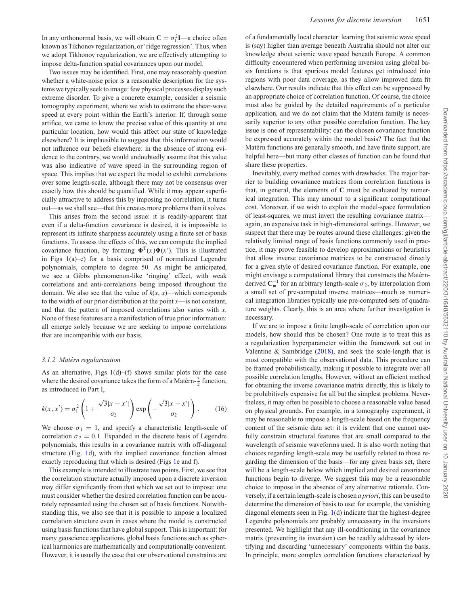In any orthonormal basis, we will obtain  $C = \sigma_1^2 I$ —a choice often known as Tikhonov regularization, or 'ridge regression'. Thus, when we adopt Tikhonov regularization, we are effectively attempting to impose delta-function spatial covariances upon our model.

Two issues may be identified. First, one may reasonably question whether a white-noise prior is a reasonable description for the systems we typically seek to image: few physical processes display such extreme disorder. To give a concrete example, consider a seismic tomography experiment, where we wish to estimate the shear-wave speed at every point within the Earth's interior. If, through some artifice, we came to know the precise value of this quantity at one particular location, how would this affect our state of knowledge elsewhere? It is implausible to suggest that this information would not influence our beliefs elsewhere: in the absence of strong evidence to the contrary, we would undoubtedly assume that this value was also indicative of wave speed in the surrounding region of space. This implies that we expect the model to exhibit correlations over some length-scale, although there may not be consensus over exactly how this should be quantified. While it may appear superficially attractive to address this by imposing no correlation, it turns out—as we shall see—that this creates more problems than it solves.

This arises from the second issue: it is readily-apparent that even if a delta-function covariance is desired, it is impossible to represent its infinite sharpness accurately using a finite set of basis functions. To assess the effects of this, we can compute the implied covariance function, by forming  $\mathbf{\Phi}^{\mathrm{T}}(x)\mathbf{\Phi}(x')$ . This is illustrated in Figs  $1(a)-c$  $1(a)-c$ ) for a basis comprised of normalized Legendre polynomials, complete to degree 50. As might be anticipated, we see a Gibbs phenomenon-like 'ringing' effect, with weak correlations and anti-correlations being imposed throughout the domain. We also see that the value of  $k(x, x)$ —which corresponds to the width of our prior distribution at the point *x*—is not constant, and that the pattern of imposed correlations also varies with *x*. None of these features are a manifestation of true prior information: all emerge solely because we are seeking to impose correlations that are incompatible with our basis.

#### *3.1.2 Matern regularization ´*

As an alternative, Figs  $1(d)$  $1(d)$ –(f) shows similar plots for the case where the desired covariance takes the form of a Matérn- $\frac{3}{2}$  function, as introduced in Part I,

$$
k(x, x') = \sigma_1^2 \left( 1 + \frac{\sqrt{3}|x - x'|}{\sigma_2} \right) \exp\left( -\frac{\sqrt{3}|x - x'|}{\sigma_2} \right). \tag{16}
$$

We choose  $\sigma_1 = 1$ , and specify a characteristic length-scale of correlation  $\sigma_2 = 0.1$ . Expanded in the discrete basis of Legendre polynomials, this results in a covariance matrix with off-diagonal structure (Fig. [1d](#page-4-0)), with the implied covariance function almost exactly reproducing that which is desired (Figs [1e](#page-4-0) and f).

This example is intended to illustrate two points. First, we see that the correlation structure actually imposed upon a discrete inversion may differ significantly from that which we set out to impose: one must consider whether the desired correlation function can be accurately represented using the chosen set of basis functions. Notwithstanding this, we also see that it is possible to impose a localized correlation structure even in cases where the model is constructed using basis functions that have global support. This is important: for many geoscience applications, global basis functions such as spherical harmonics are mathematically and computationally convenient. However, it is usually the case that our observational constraints are

of a fundamentally local character: learning that seismic wave speed is (say) higher than average beneath Australia should not alter our knowledge about seismic wave speed beneath Europe. A common difficulty encountered when performing inversion using global basis functions is that spurious model features get introduced into regions with poor data coverage, as they allow improved data fit elsewhere. Our results indicate that this effect can be suppressed by an appropriate choice of correlation function. Of course, the choice must also be guided by the detailed requirements of a particular application, and we do not claim that the Matérn family is necessarily superior to any other possible correlation function. The key issue is one of representability: can the chosen covariance function be expressed accurately within the model basis? The fact that the Matérn functions are generally smooth, and have finite support, are helpful here—but many other classes of function can be found that share these properties.

Inevitably, every method comes with drawbacks. The major barrier to building covariance matrices from correlation functions is that, in general, the elements of **C** must be evaluated by numerical integration. This may amount to a significant computational cost. Moreover, if we wish to exploit the model-space formulation of least-squares, we must invert the resulting covariance matrix again, an expensive task in high-dimensional settings. However, we suspect that there may be routes around these challenges: given the relatively limited range of basis functions commonly used in practice, it may prove feasible to develop approximations or heuristics that allow inverse covariance matrices to be constructed directly for a given style of desired covariance function. For example, one might envisage a computational library that constructs the Matérnderived  $\mathbf{C}_{\mathbf{m}}^{-1}$  for an arbitrary length-scale  $\sigma_2$ , by interpolation from a small set of pre-computed inverse matrices—much as numerical integration libraries typically use pre-computed sets of quadrature weights. Clearly, this is an area where further investigation is necessary.

If we are to impose a finite length-scale of correlation upon our models, how should this be chosen? One route is to treat this as a regularization hyperparameter within the framework set out in Valentine & Sambridge [\(2018\)](#page-8-7), and seek the scale-length that is most compatible with the observational data. This procedure can be framed probabilistically, making it possible to integrate over all possible correlation lengths. However, without an efficient method for obtaining the inverse covariance matrix directly, this is likely to be prohibitively expensive for all but the simplest problems. Nevertheless, it may often be possible to choose a reasonable value based on physical grounds. For example, in a tomography experiment, it may be reasonable to impose a length-scale based on the frequency content of the seismic data set: it is evident that one cannot usefully constrain structural features that are small compared to the wavelength of seismic waveforms used. It is also worth noting that choices regarding length-scale may be usefully related to those regarding the dimension of the basis—for any given basis set, there will be a length-scale below which implied and desired covariance functions begin to diverge. We suggest this may be a reasonable choice to impose in the absence of any alternative rationale. Conversely, if a certain length-scale is chosen *a priori*, this can be used to determine the dimension of basis to use: for example, the vanishing diagonal elements seen in Fig. [1\(](#page-4-0)d) indicate that the highest-degree Legendre polynomials are probably unnecessary in the inversions presented. We highlight that any ill-conditioning in the covariance matrix (preventing its inversion) can be readily addressed by identifying and discarding 'unnecessary' components within the basis. In principle, more complex correlation functions characterized by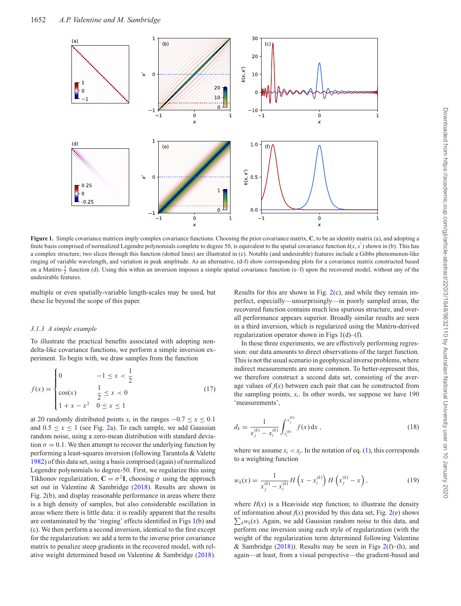<span id="page-4-0"></span>

**Figure 1.** Simple covariance matrices imply complex covariance functions. Choosing the prior covariance matrix, **C**, to be an identity matrix (a), and adopting a finite basis comprised of normalized Legendre polynomials complete to degree 50, is equivalent to the spatial covariance function  $k(x, x')$  shown in (b). This has a complex structure; two slices through this function (dotted lines) are illustrated in (c). Notable (and undesirable) features include a Gibbs phenomenon-like ringing of variable wavelength, and variation in peak amplitude. As an alternative, (d-f) show corresponding plots for a covariance matrix constructed based on a Matérn- $\frac{3}{2}$  function (d). Using this within an inversion imposes a simple spatial covariance function (e–f) upon the recovered model, without any of the undesirable features.

multiple or even spatially-variable length-scales may be used, but these lie beyond the scope of this paper.

#### *3.1.3 A simple example*

To illustrate the practical benefits associated with adopting nondelta-like covariance functions, we perform a simple inversion experiment. To begin with, we draw samples from the function

$$
f(x) = \begin{cases} 0 & -1 \le x < \frac{1}{2} \\ \cos(x) & \frac{1}{2} \le x < 0 \\ 1 + x - x^2 & 0 \le x \le 1 \end{cases}
$$
(17)

at 20 randomly distributed points  $x_i$  in the ranges  $-0.7 \le x \le 0.1$ and  $0.5 < x < 1$  (see Fig. [2a](#page-5-0)). To each sample, we add Gaussian random noise, using a zero-mean distribution with standard deviation  $\sigma = 0.1$ . We then attempt to recover the underlying function by performing a least-squares inversion (following Tarantola & Valette [1982\)](#page-8-2) of this data set, using a basis comprised (again) of normalized Legendre polynomials to degree-50. First, we regularize this using Tikhonov regularization,  $C = \sigma^2 I$ , choosing  $\sigma$  using the approach set out in Valentine & Sambridge [\(2018\)](#page-8-7). Results are shown in Fig. [2\(](#page-5-0)b), and display reasonable performance in areas where there is a high density of samples, but also considerable oscillation in areas where there is little data: it is readily apparent that the results are contaminated by the 'ringing' effects identified in Figs [1\(](#page-4-0)b) and (c). We then perform a second inversion, identical to the first except for the regularization: we add a term to the inverse prior covariance matrix to penalize steep gradients in the recovered model, with relative weight determined based on Valentine & Sambridge [\(2018\)](#page-8-7). Results for this are shown in Fig. [2\(](#page-5-0)c), and while they remain imperfect, especially—unsurprisingly—in poorly sampled areas, the recovered function contains much less spurious structure, and overall performance appears superior. Broadly similar results are seen in a third inversion, which is regularized using the Matérn-derived regularization operator shown in Figs  $1(d)$  $1(d)$ –(f).

In these three experiments, we are effectively performing regression: our data amounts to direct observations of the target function. This is not the usual scenario in geophysical inverse problems, where indirect measurements are more common. To better-represent this, we therefore construct a second data set, consisting of the average values of  $f(x)$  between each pair that can be constructed from the sampling points,  $x_i$ . In other words, we suppose we have 190 'measurements',

$$
d_k = \frac{1}{x_j^{(k)} - x_i^{(k)}} \int_{x_i^{(k)}}^{x_j^{(k)}} f(x) \, dx \,, \tag{18}
$$

where we assume  $x_i < x_j$ . In the notation of eq. (1), this corresponds to a weighting function

$$
w_k(x) = \frac{1}{x_j^{(k)} - x_i^{(k)}} H\left(x - x_i^{(k)}\right) H\left(x_j^{(k)} - x\right),\tag{19}
$$

where  $H(x)$  is a Heaviside step function; to illustrate the density  $\sum_{k} w_k(x)$ . Again, we add Gaussian random noise to this data, and of information about  $f(x)$  provided by this data set, Fig. [2\(](#page-5-0)e) shows perform one inversion using each style of regularization (with the weight of the regularization term determined following Valentine & Sambridge  $(2018)$ ). Results may be seen in Figs  $2(f)$  $2(f)$ –(h), and again—at least, from a visual perspective—the gradient-based and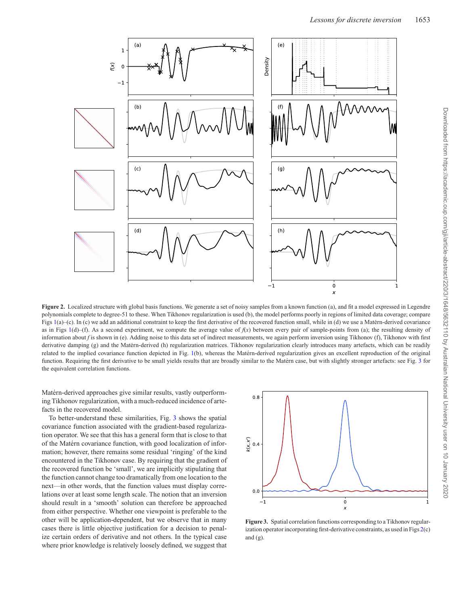<span id="page-5-0"></span>

**Figure 2.** Localized structure with global basis functions. We generate a set of noisy samples from a known function (a), and fit a model expressed in Legendre polynomials complete to degree-51 to these. When Tikhonov regularization is used (b), the model performs poorly in regions of limited data coverage; compare Figs  $1(a)$  $1(a)$ –(c). In (c) we add an additional constraint to keep the first derivative of the recovered function small, while in (d) we use a Matérn-derived covariance as in Figs [1\(](#page-4-0)d)–(f). As a second experiment, we compute the average value of  $f(x)$  between every pair of sample-points from (a); the resulting density of information about *f* is shown in (e). Adding noise to this data set of indirect measurements, we again perform inversion using Tikhonov (f), Tikhonov with first derivative damping (g) and the Matérn-derived (h) regularization matrices. Tikhonov regularization clearly introduces many artefacts, which can be readily related to the implied covariance function depicted in Fig. [1\(](#page-4-0)b), whereas the Matérn-derived regularization gives an excellent reproduction of the original function. Requiring the first derivative to be small yields results that are broadly similar to the Matérn case, but with slightly stronger artefacts: see Fig. [3](#page-5-1) for the equivalent correlation functions.

Matérn-derived approaches give similar results, vastly outperforming Tikhonov regularization, with a much-reduced incidence of artefacts in the recovered model.

To better-understand these similarities, Fig. [3](#page-5-1) shows the spatial covariance function associated with the gradient-based regularization operator. We see that this has a general form that is close to that of the Matern covariance function, with good localization of infor- ´ mation; however, there remains some residual 'ringing' of the kind encountered in the Tikhonov case. By requiring that the gradient of the recovered function be 'small', we are implicitly stipulating that the function cannot change too dramatically from one location to the next—in other words, that the function values must display correlations over at least some length scale. The notion that an inversion should result in a 'smooth' solution can therefore be approached from either perspective. Whether one viewpoint is preferable to the other will be application-dependent, but we observe that in many cases there is little objective justification for a decision to penalize certain orders of derivative and not others. In the typical case where prior knowledge is relatively loosely defined, we suggest that

<span id="page-5-1"></span>

**Figure 3.** Spatial correlation functions corresponding to a Tikhonov regularization operator incorporating first-derivative constraints, as used in Figs [2\(](#page-5-0)c) and  $(g)$ .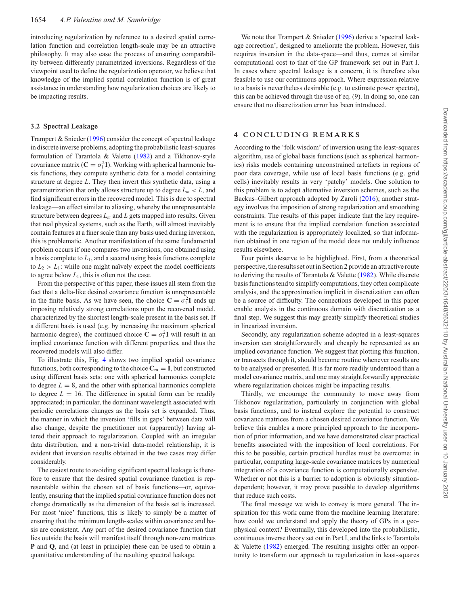introducing regularization by reference to a desired spatial correlation function and correlation length-scale may be an attractive philosophy. It may also ease the process of ensuring comparability between differently parametrized inversions. Regardless of the viewpoint used to define the regularization operator, we believe that knowledge of the implied spatial correlation function is of great assistance in understanding how regularization choices are likely to be impacting results.

#### **3.2 Spectral Leakage**

Trampert & Snieder [\(1996\)](#page-8-5) consider the concept of spectral leakage in discrete inverse problems, adopting the probabilistic least-squares formulation of Tarantola & Valette [\(1982\)](#page-8-2) and a Tikhonov-style covariance matrix ( $\mathbf{C} = \sigma_1^2 \mathbf{I}$ ). Working with spherical harmonic basis functions, they compute synthetic data for a model containing structure at degree *L*. They then invert this synthetic data, using a parametrization that only allows structure up to degree  $L_m < L$ , and find significant errors in the recovered model. This is due to spectral leakage—an effect similar to aliasing, whereby the unrepresentable structure between degrees  $L_m$  and  $L$  gets mapped into results. Given that real physical systems, such as the Earth, will almost inevitably contain features at a finer scale than any basis used during inversion, this is problematic. Another manifestation of the same fundamental problem occurs if one compares two inversions, one obtained using a basis complete to *L*1, and a second using basis functions complete to  $L_2 > L_1$ : while one might naïvely expect the model coefficients to agree below *L*1, this is often not the case.

From the perspective of this paper, these issues all stem from the fact that a delta-like desired covariance function is unrepresentable in the finite basis. As we have seen, the choice  $C = \sigma_1^2 I$  ends up imposing relatively strong correlations upon the recovered model, characterized by the shortest length-scale present in the basis set. If a different basis is used (e.g. by increasing the maximum spherical harmonic degree), the continued choice  $\mathbf{C} = \sigma_1^2 \mathbf{I}$  will result in an implied covariance function with different properties, and thus the recovered models will also differ.

To illustrate this, Fig. [4](#page-7-8) shows two implied spatial covariance functions, both corresponding to the choice  $C_m = I$ , but constructed using different basis sets: one with spherical harmonics complete to degree  $L = 8$ , and the other with spherical harmonics complete to degree  $L = 16$ . The difference in spatial form can be readily appreciated; in particular, the dominant wavelength associated with periodic correlations changes as the basis set is expanded. Thus, the manner in which the inversion 'fills in gaps' between data will also change, despite the practitioner not (apparently) having altered their approach to regularization. Coupled with an irregular data distribution, and a non-trivial data-model relationship, it is evident that inversion results obtained in the two cases may differ considerably.

The easiest route to avoiding significant spectral leakage is therefore to ensure that the desired spatial covariance function is representable within the chosen set of basis functions—or, equivalently, ensuring that the implied spatial covariance function does not change dramatically as the dimension of the basis set is increased. For most 'nice' functions, this is likely to simply be a matter of ensuring that the minimum length-scales within covariance and basis are consistent. Any part of the desired covariance function that lies outside the basis will manifest itself through non-zero matrices **P** and **Q**, and (at least in principle) these can be used to obtain a quantitative understanding of the resulting spectral leakage.

We note that Trampert & Snieder [\(1996\)](#page-8-5) derive a 'spectral leakage correction', designed to ameliorate the problem. However, this requires inversion in the data-space—and thus, comes at similar computational cost to that of the GP framework set out in Part I. In cases where spectral leakage is a concern, it is therefore also feasible to use our continuous approach. Where expression relative to a basis is nevertheless desirable (e.g. to estimate power spectra), this can be achieved through the use of eq. (9). In doing so, one can ensure that no discretization error has been introduced.

### **4 CONCLUDING REMARKS**

According to the 'folk wisdom' of inversion using the least-squares algorithm, use of global basis functions (such as spherical harmonics) risks models containing unconstrained artefacts in regions of poor data coverage, while use of local basis functions (e.g. grid cells) inevitably results in very 'patchy' models. One solution to this problem is to adopt alternative inversion schemes, such as the Backus–Gilbert approach adopted by Zaroli [\(2016\)](#page-8-8); another strategy involves the imposition of strong regularization and smoothing constraints. The results of this paper indicate that the key requirement is to ensure that the implied correlation function associated with the regularization is appropriately localized, so that information obtained in one region of the model does not unduly influence results elsewhere.

Four points deserve to be highlighted. First, from a theoretical perspective, the results set out in Section 2 provide an attractive route to deriving the results of Tarantola & Valette [\(1982\)](#page-8-2). While discrete basis functions tend to simplify computations, they often complicate analysis, and the approximation implicit in discretization can often be a source of difficulty. The connections developed in this paper enable analysis in the continuous domain with discretization as a final step. We suggest this may greatly simplify theoretical studies in linearized inversion.

Secondly, any regularization scheme adopted in a least-squares inversion can straightforwardly and cheaply be represented as an implied covariance function. We suggest that plotting this function, or transects through it, should become routine whenever results are to be analysed or presented. It is far more readily understood than a model covariance matrix, and one may straightforwardly appreciate where regularization choices might be impacting results.

Thirdly, we encourage the community to move away from Tikhonov regularization, particularly in conjunction with global basis functions, and to instead explore the potential to construct covariance matrices from a chosen desired covariance function. We believe this enables a more principled approach to the incorporation of prior information, and we have demonstrated clear practical benefits associated with the imposition of local correlations. For this to be possible, certain practical hurdles must be overcome: in particular, computing large-scale covariance matrices by numerical integration of a covariance function is computationally expensive. Whether or not this is a barrier to adoption is obviously situationdependent; however, it may prove possible to develop algorithms that reduce such costs.

The final message we wish to convey is more general. The inspiration for this work came from the machine learning literature: how could we understand and apply the theory of GPs in a geophysical context? Eventually, this developed into the probabilistic, continuous inverse theory set out in Part I, and the links to Tarantola & Valette [\(1982\)](#page-8-2) emerged. The resulting insights offer an opportunity to transform our approach to regularization in least-squares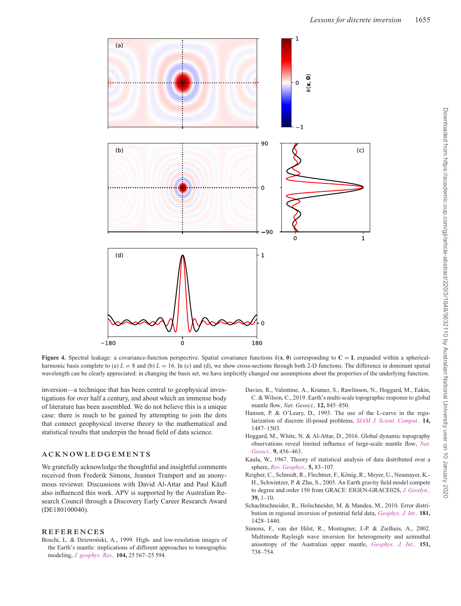<span id="page-7-8"></span>

**Figure 4.** Spectral leakage: a covariance-function perspective. Spatial covariance functions  $k(x, 0)$  corresponding to  $C = I$ , expanded within a sphericalharmonic basis complete to (a)  $L = 8$  and (b)  $L = 16$ . In (c) and (d), we show cross-sections through both 2-D functions. The difference in dominant spatial wavelength can be clearly appreciated: in changing the basis set, we have implicitly changed our assumptions about the properties of the underlying function.

inversion—a technique that has been central to geophysical investigations for over half a century, and about which an immense body of literature has been assembled. We do not believe this is a unique case: there is much to be gained by attempting to join the dots that connect geophysical inverse theory to the mathematical and statistical results that underpin the broad field of data science.

# **ACKNOWLEDGEMENTS**

We gratefully acknowledge the thoughtful and insightful comments received from Frederik Simons, Jeannot Trampert and an anonymous reviewer. Discussions with David Al-Attar and Paul Käufl also influenced this work. APV is supported by the Australian Research Council through a Discovery Early Career Research Award (DE180100040).

#### **REFERENCES**

<span id="page-7-0"></span>Boschi, L. & Dziewoński, A., 1999. High- and low-resolution images of the Earth's mantle: implications of different approaches to tomographic modeling, *[J. geophys. Res.,](http://dx.doi.org/doi.org/10.1029/1999JB900166)* **104,** 25 567–25 594.

- <span id="page-7-3"></span>Davies, R., Valentine, A., Kramer, S., Rawlinson, N., Hoggard, M., Eakin, C. & Wilson, C., 2019. Earth's multi-scale topographic response to global mantle flow, *Nat. Geosci.,* **12,** 845–850.
- <span id="page-7-7"></span>Hansen, P. & O'Leary, D., 1993. The use of the L-curve in the regularization of discrete ill-posed problems, *[SIAM J. Scient. Comput.,](http://dx.doi.org/DOI: 10.1137/0914086)* **14,** 1487–1503.
- <span id="page-7-2"></span>Hoggard, M., White, N. & Al-Attar, D., 2016. Global dynamic topography [observations reveal limited influence of large-scale mantle flow,](http://dx.doi.org/doi.org/10.1038/ngeo2709) *Nat. Geosci.,* **9,** 456–463.
- <span id="page-7-4"></span>Kaula, W., 1967. Theory of statistical analysis of data distributed over a sphere, *[Rev. Geophys.,](http://dx.doi.org/doi.org/10.1029/RG005i001p00083)* **5,** 83–107.
- <span id="page-7-1"></span>Reigber, C., Schmidt, R., Flechtner, F., Konig, R., Meyer, U., Neumayer, K.- ¨ H., Schwintzer, P. & Zhu, S., 2005. An Earth gravity field model compete to degree and order 150 from GRACE: EIGEN-GRACE02S, *[J. Geodyn.,](http://dx.doi.org/doi:10.1016/j.jog.2004.07.001)* **39,** 1–10.
- <span id="page-7-6"></span>Schachtschneider, R., Holschneider, M. & Mandea, M., 2010. Error distribution in regional inversion of potential field data, *[Geophys. J. Int.,](http://dx.doi.org/doi.org/10.1111/j.1365-246X.2010.04598.x)* **181,** 1428–1440.
- <span id="page-7-5"></span>Simons, F., van der Hilst, R., Montagner, J.-P. & Zielhuis, A., 2002. Multimode Rayleigh wave inversion for heterogeneity and azimuthal anisotropy of the Australian upper mantle, *[Geophys. J. Int.,](http://dx.doi.org/doi.org/10.1046/j.1365-246X.2002.01787.x)* **151,** 738–754.